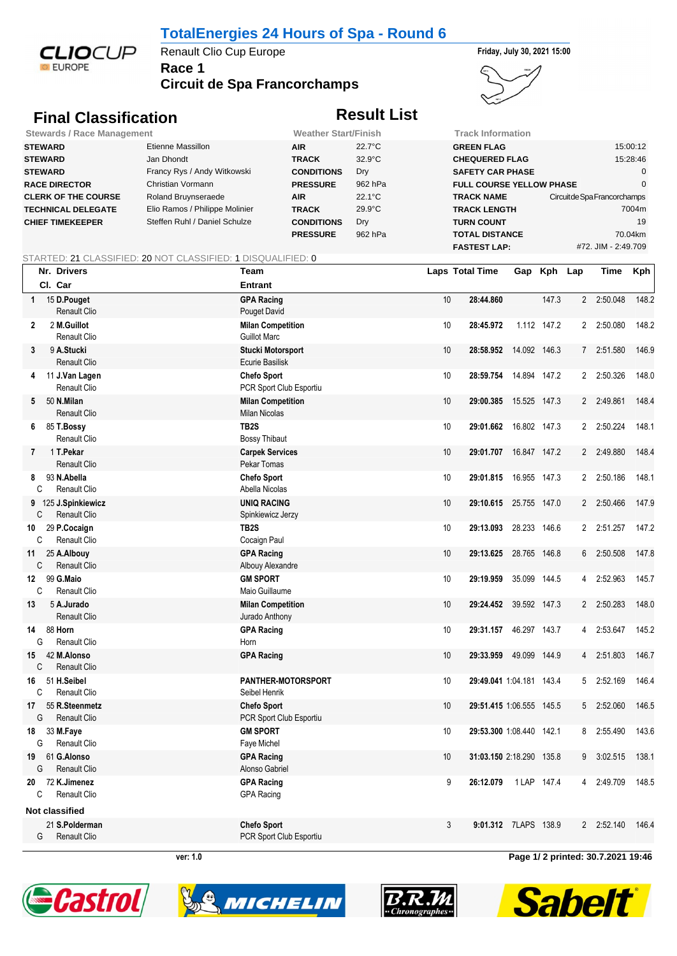

## **TotalEnergies 24 Hours of Spa - Round 6**

**Race 1** Renault Clio Cup Europe **Friday, July 30, 2021 15:00** 

**Circuit de Spa Francorchamps**





## **Final Classification Result List**

| <b>Stewards / Race Management</b> |                                | <b>Weather Start/Finish</b> |                  | Track Information               |                              |
|-----------------------------------|--------------------------------|-----------------------------|------------------|---------------------------------|------------------------------|
| <b>STEWARD</b>                    | Etienne Massillon              | <b>AIR</b>                  | $22.7^{\circ}$ C | <b>GREEN FLAG</b>               | 15:00:12                     |
| <b>STEWARD</b>                    | Jan Dhondt                     | <b>TRACK</b>                | $32.9^{\circ}$ C | <b>CHEQUERED FLAG</b>           | 15:28:46                     |
| <b>STEWARD</b>                    | Francy Rys / Andy Witkowski    | <b>CONDITIONS</b>           | Dry              | <b>SAFETY CAR PHASE</b>         |                              |
| <b>RACE DIRECTOR</b>              | Christian Vormann              | <b>PRESSURE</b>             | 962 hPa          | <b>FULL COURSE YELLOW PHASE</b> |                              |
| <b>CLERK OF THE COURSE</b>        | Roland Bruynseraede            | <b>AIR</b>                  | $22.1^{\circ}$ C | <b>TRACK NAME</b>               | Circuit de Spa Francorchamps |
| <b>TECHNICAL DELEGATE</b>         | Elio Ramos / Philippe Molinier | <b>TRACK</b>                | $29.9^{\circ}$ C | <b>TRACK LENGTH</b>             | 7004m                        |
| <b>CHIEF TIMEKEEPER</b>           | Steffen Ruhl / Daniel Schulze  | <b>CONDITIONS</b>           | Dry              | <b>TURN COUNT</b>               | 19                           |
|                                   |                                | <b>PRESSURE</b>             | 962 hPa          | <b>TOTAL DISTANCE</b>           | 70.04km                      |
|                                   |                                |                             |                  | <b>FASTEST LAP:</b>             | #72. JIM - 2:49.709          |

## STARTED: 21 CLASSIFIED: 20 NOT CLASSIFIED: 1 DISQUALIFIED: 0

|                    | Nr. Drivers                             | Team                                             |    | Laps Total Time          |                      | Gap Kph Lap |                | Time       | <b>Kph</b> |
|--------------------|-----------------------------------------|--------------------------------------------------|----|--------------------------|----------------------|-------------|----------------|------------|------------|
|                    | CI. Car                                 | <b>Entrant</b>                                   |    |                          |                      |             |                |            |            |
| $1 \quad$          | 15 D.Pouget<br>Renault Clio             | <b>GPA Racing</b><br>Pouget David                | 10 | 28:44.860                |                      | 147.3       |                | 2 2:50.048 | 148.2      |
| $\overline{2}$     | 2 M.Guillot<br>Renault Clio             | <b>Milan Competition</b><br><b>Guillot Marc</b>  | 10 | 28:45.972                |                      | 1.112 147.2 |                | 2 2:50.080 | 148.2      |
| 3                  | 9 A.Stucki<br>Renault Clio              | <b>Stucki Motorsport</b><br>Ecurie Basilisk      | 10 | 28:58.952 14.092 146.3   |                      |             |                | 7 2:51.580 | 146.9      |
|                    | 4 11 J.Van Lagen<br><b>Renault Clio</b> | <b>Chefo Sport</b><br>PCR Sport Club Esportiu    | 10 | 28:59.754 14.894 147.2   |                      |             |                | 2 2:50.326 | 148.0      |
|                    | 5 50 N.Milan<br>Renault Clio            | <b>Milan Competition</b><br><b>Milan Nicolas</b> | 10 | 29:00.385                | 15.525 147.3         |             |                | 2 2:49.861 | 148.4      |
| 6                  | 85 T.Bossy<br>Renault Clio              | TB <sub>2</sub> S<br><b>Bossy Thibaut</b>        | 10 | 29:01.662 16.802 147.3   |                      |             |                | 2 2:50.224 | 148.1      |
|                    | 7 1 T. Pekar<br><b>Renault Clio</b>     | <b>Carpek Services</b><br>Pekar Tomas            | 10 | 29:01.707 16.847 147.2   |                      |             |                | 2 2:49.880 | 148.4      |
| 8<br>C             | 93 N.Abella<br>Renault Clio             | <b>Chefo Sport</b><br>Abella Nicolas             | 10 | 29:01.815 16.955 147.3   |                      |             |                | 2 2:50.186 | 148.1      |
| C                  | 9 125 J.Spinkiewicz<br>Renault Clio     | <b>UNIQ RACING</b><br>Spinkiewicz Jerzy          | 10 | 29:10.615                | 25.755 147.0         |             | $\overline{2}$ | 2:50.466   | 147.9      |
| 10<br>C            | 29 P.Cocaign<br><b>Renault Clio</b>     | TB2S<br>Cocaign Paul                             | 10 | 29:13.093                | 28.233 146.6         |             | $\mathbf{2}$   | 2:51.257   | 147.2      |
| 11<br>C            | 25 A.Albouy<br><b>Renault Clio</b>      | <b>GPA Racing</b><br>Albouy Alexandre            | 10 | 29:13.625                | 28.765 146.8         |             | 6              | 2:50.508   | 147.8      |
| 12<br>C            | 99 G.Maio<br><b>Renault Clio</b>        | <b>GM SPORT</b><br>Maio Guillaume                | 10 | 29:19.959                | 35.099 144.5         |             | 4              | 2:52.963   | 145.7      |
| 13                 | 5 A.Jurado<br><b>Renault Clio</b>       | <b>Milan Competition</b><br>Jurado Anthony       | 10 | 29:24.452 39.592 147.3   |                      |             | 2              | 2:50.283   | 148.0      |
| G                  | 14 88 Horn<br><b>Renault Clio</b>       | <b>GPA Racing</b><br>Horn                        | 10 | 29:31.157 46.297 143.7   |                      |             | 4              | 2:53.647   | 145.2      |
| 15<br>$\mathsf{C}$ | 42 M.Alonso<br>Renault Clio             | <b>GPA Racing</b>                                | 10 | 29:33.959 49.099 144.9   |                      |             |                | 4 2:51.803 | 146.7      |
| 16<br>$\mathsf{C}$ | 51 H.Seibel<br>Renault Clio             | PANTHER-MOTORSPORT<br>Seibel Henrik              | 10 | 29:49.041 1:04.181 143.4 |                      |             | 5              | 2:52.169   | 146.4      |
| 17<br>G            | 55 R.Steenmetz<br>Renault Clio          | <b>Chefo Sport</b><br>PCR Sport Club Esportiu    | 10 | 29:51.415 1:06.555 145.5 |                      |             |                | 5 2:52.060 | 146.5      |
| G                  | 18 33 M.Faye<br>Renault Clio            | <b>GM SPORT</b><br>Faye Michel                   | 10 | 29:53.300 1:08.440 142.1 |                      |             |                | 8 2:55.490 | 143.6      |
| 19<br>G            | 61 G.Alonso<br><b>Renault Clio</b>      | <b>GPA Racing</b><br>Alonso Gabriel              | 10 | 31:03.150 2:18.290 135.8 |                      |             | 9              | 3:02.515   | 138.1      |
| 20<br>C            | 72 K.Jimenez<br>Renault Clio            | <b>GPA Racing</b><br><b>GPA Racing</b>           | 9  | 26:12.079                | 1 LAP 147.4          |             |                | 4 2:49.709 | 148.5      |
|                    | Not classified                          |                                                  |    |                          |                      |             |                |            |            |
| G                  | 21 S.Polderman<br><b>Renault Clio</b>   | <b>Chefo Sport</b><br>PCR Sport Club Esportiu    | 3  |                          | 9:01.312 7LAPS 138.9 |             |                | 2 2:52.140 | 146.4      |

**ver: 1.0 Page 1/ 2 printed: 30.7.2021 19:46**